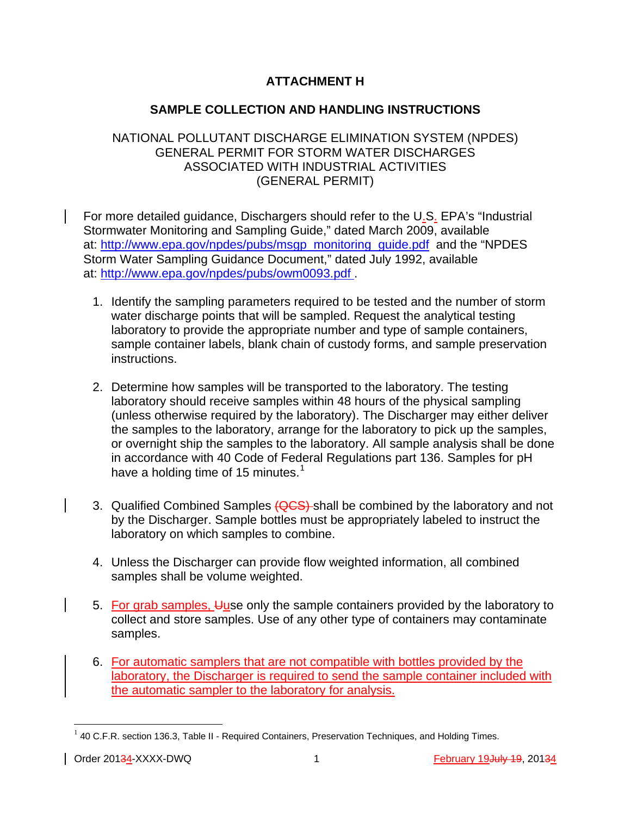# **ATTACHMENT H**

## **SAMPLE COLLECTION AND HANDLING INSTRUCTIONS**

### NATIONAL POLLUTANT DISCHARGE ELIMINATION SYSTEM (NPDES) GENERAL PERMIT FOR STORM WATER DISCHARGES ASSOCIATED WITH INDUSTRIAL ACTIVITIES (GENERAL PERMIT)

For more detailed guidance, Dischargers should refer to the U.S. EPA's "Industrial Stormwater Monitoring and Sampling Guide," dated March 2009, available at: [http://www.epa.gov/npdes/pubs/msgp\\_monitoring\\_guide.pdf](http://www.epa.gov/npdes/pubs/msgp_monitoring_guide.pdf) and the "NPDES Storm Water Sampling Guidance Document," dated July 1992, available at: <http://www.epa.gov/npdes/pubs/owm0093.pdf> .

- 1. Identify the sampling parameters required to be tested and the number of storm water discharge points that will be sampled. Request the analytical testing laboratory to provide the appropriate number and type of sample containers, sample container labels, blank chain of custody forms, and sample preservation instructions.
- 2. Determine how samples will be transported to the laboratory. The testing laboratory should receive samples within 48 hours of the physical sampling (unless otherwise required by the laboratory). The Discharger may either deliver the samples to the laboratory, arrange for the laboratory to pick up the samples, or overnight ship the samples to the laboratory. All sample analysis shall be done in accordance with 40 Code of Federal Regulations part 136. Samples for pH have a holding time of [1](#page-0-0)5 minutes.<sup>1</sup>
- 3. Qualified Combined Samples (QCS) shall be combined by the laboratory and not by the Discharger. Sample bottles must be appropriately labeled to instruct the laboratory on which samples to combine.
- 4. Unless the Discharger can provide flow weighted information, all combined samples shall be volume weighted.
- 5. For grab samples, Uuse only the sample containers provided by the laboratory to collect and store samples. Use of any other type of containers may contaminate samples.
- 6. For automatic samplers that are not compatible with bottles provided by the laboratory, the Discharger is required to send the sample container included with the automatic sampler to the laboratory for analysis.

<span id="page-0-0"></span> $1$  40 C.F.R. section 136.3, Table II - Required Containers, Preservation Techniques, and Holding Times.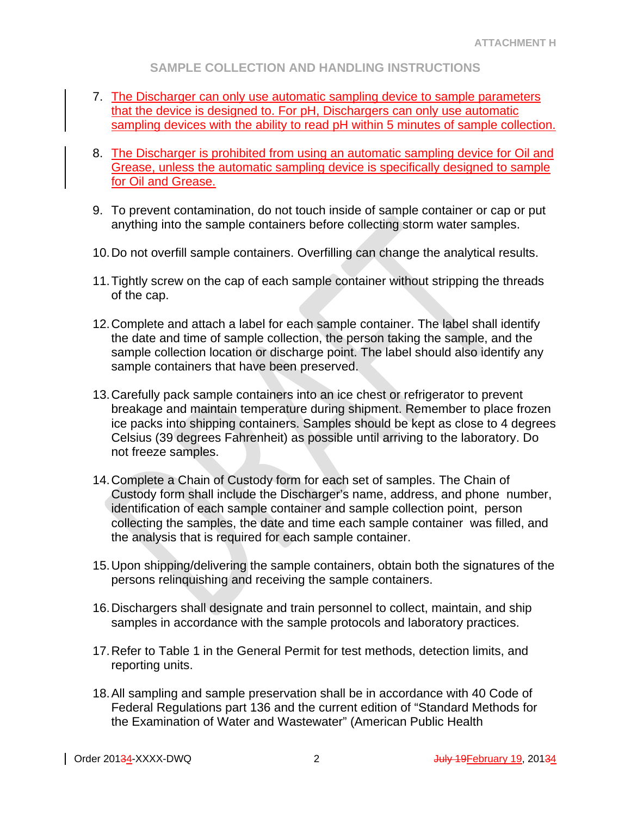### **SAMPLE COLLECTION AND HANDLING INSTRUCTIONS**

- 7. The Discharger can only use automatic sampling device to sample parameters that the device is designed to. For pH, Dischargers can only use automatic sampling devices with the ability to read pH within 5 minutes of sample collection.
- 8. The Discharger is prohibited from using an automatic sampling device for Oil and Grease, unless the automatic sampling device is specifically designed to sample for Oil and Grease.
- 9. To prevent contamination, do not touch inside of sample container or cap or put anything into the sample containers before collecting storm water samples.
- 10.Do not overfill sample containers. Overfilling can change the analytical results.
- 11.Tightly screw on the cap of each sample container without stripping the threads of the cap.
- 12.Complete and attach a label for each sample container. The label shall identify the date and time of sample collection, the person taking the sample, and the sample collection location or discharge point. The label should also identify any sample containers that have been preserved.
- 13.Carefully pack sample containers into an ice chest or refrigerator to prevent breakage and maintain temperature during shipment. Remember to place frozen ice packs into shipping containers. Samples should be kept as close to 4 degrees Celsius (39 degrees Fahrenheit) as possible until arriving to the laboratory. Do not freeze samples.
- 14.Complete a Chain of Custody form for each set of samples. The Chain of Custody form shall include the Discharger's name, address, and phone number, identification of each sample container and sample collection point, person collecting the samples, the date and time each sample container was filled, and the analysis that is required for each sample container.
- 15.Upon shipping/delivering the sample containers, obtain both the signatures of the persons relinquishing and receiving the sample containers.
- 16.Dischargers shall designate and train personnel to collect, maintain, and ship samples in accordance with the sample protocols and laboratory practices.
- 17.Refer to Table 1 in the General Permit for test methods, detection limits, and reporting units.
- 18.All sampling and sample preservation shall be in accordance with 40 Code of Federal Regulations part 136 and the current edition of "Standard Methods for the Examination of Water and Wastewater" (American Public Health